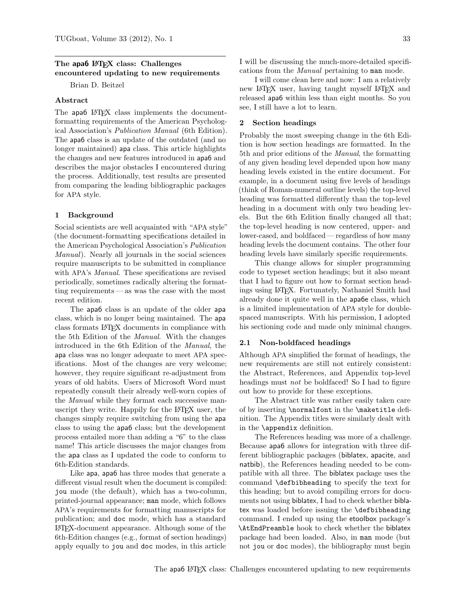## The apa6 LAT<sub>EX</sub> class: Challenges encountered updating to new requirements

Brian D. Beitzel

## Abstract

The apa6 L<sup>AT</sup>FX class implements the documentformatting requirements of the American Psychological Association's Publication Manual (6th Edition). The apa6 class is an update of the outdated (and no longer maintained) apa class. This article highlights the changes and new features introduced in apa6 and describes the major obstacles I encountered during the process. Additionally, test results are presented from comparing the leading bibliographic packages for APA style.

#### 1 Background

Social scientists are well acquainted with "APA style" (the document-formatting specifications detailed in the American Psychological Association's Publication Manual). Nearly all journals in the social sciences require manuscripts to be submitted in compliance with APA's Manual. These specifications are revised periodically, sometimes radically altering the formatting requirements— as was the case with the most recent edition.

The apa6 class is an update of the older apa class, which is no longer being maintained. The apa class formats LATEX documents in compliance with the 5th Edition of the Manual. With the changes introduced in the 6th Edition of the Manual, the apa class was no longer adequate to meet APA specifications. Most of the changes are very welcome; however, they require significant re-adjustment from years of old habits. Users of Microsoft Word must repeatedly consult their already well-worn copies of the Manual while they format each successive manuscript they write. Happily for the L<sup>AT</sup>EX user, the changes simply require switching from using the apa class to using the apa6 class; but the development process entailed more than adding a "6" to the class name! This article discusses the major changes from the apa class as I updated the code to conform to 6th-Edition standards.

Like apa, apa6 has three modes that generate a different visual result when the document is compiled: jou mode (the default), which has a two-column, printed-journal appearance; man mode, which follows APA's requirements for formatting manuscripts for publication; and doc mode, which has a standard LATEX-document appearance. Although some of the 6th-Edition changes (e.g., format of section headings) apply equally to jou and doc modes, in this article

I will be discussing the much-more-detailed specifications from the Manual pertaining to man mode.

I will come clean here and now: I am a relatively new LAT<sub>EX</sub> user, having taught myself LAT<sub>EX</sub> and released apa6 within less than eight months. So you see, I still have a lot to learn.

#### 2 Section headings

Probably the most sweeping change in the 6th Edition is how section headings are formatted. In the 5th and prior editions of the Manual, the formatting of any given heading level depended upon how many heading levels existed in the entire document. For example, in a document using five levels of headings (think of Roman-numeral outline levels) the top-level heading was formatted differently than the top-level heading in a document with only two heading levels. But the 6th Edition finally changed all that; the top-level heading is now centered, upper- and lower-cased, and boldfaced — regardless of how many heading levels the document contains. The other four heading levels have similarly specific requirements.

This change allows for simpler programming code to typeset section headings; but it also meant that I had to figure out how to format section headings using LATEX. Fortunately, Nathaniel Smith had already done it quite well in the apa6e class, which is a limited implementation of APA style for doublespaced manuscripts. With his permission, I adopted his sectioning code and made only minimal changes.

#### 2.1 Non-boldfaced headings

Although APA simplified the format of headings, the new requirements are still not entirely consistent: the Abstract, References, and Appendix top-level headings must *not* be boldfaced! So I had to figure out how to provide for these exceptions.

The Abstract title was rather easily taken care of by inserting \normalfont in the \maketitle definition. The Appendix titles were similarly dealt with in the \appendix definition.

The References heading was more of a challenge. Because apa6 allows for integration with three different bibliographic packages (biblatex, apacite, and natbib), the References heading needed to be compatible with all three. The biblatex package uses the command \defbibheading to specify the text for this heading; but to avoid compiling errors for documents not using biblatex, I had to check whether biblatex was loaded before issuing the \defbibheading command. I ended up using the etoolbox package's \AtEndPreamble hook to check whether the biblatex package had been loaded. Also, in man mode (but not jou or doc modes), the bibliography must begin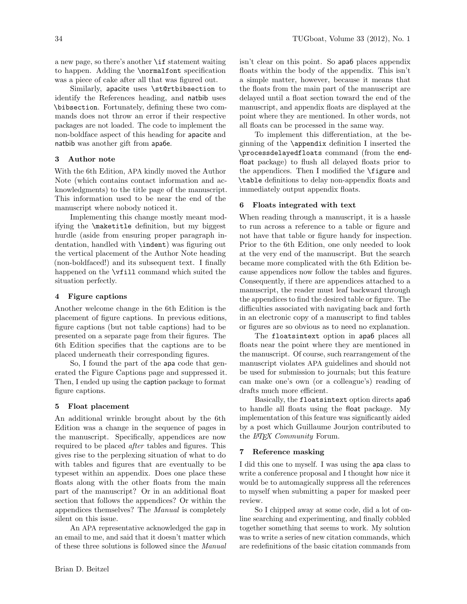Similarly, apacite uses \st@rtbibsection to identify the References heading, and natbib uses \bibsection. Fortunately, defining these two commands does not throw an error if their respective packages are not loaded. The code to implement the non-boldface aspect of this heading for apacite and natbib was another gift from apa6e.

## 3 Author note

With the 6th Edition, APA kindly moved the Author Note (which contains contact information and acknowledgments) to the title page of the manuscript. This information used to be near the end of the manuscript where nobody noticed it.

Implementing this change mostly meant modifying the \maketitle definition, but my biggest hurdle (aside from ensuring proper paragraph indentation, handled with \indent) was figuring out the vertical placement of the Author Note heading (non-boldfaced!) and its subsequent text. I finally happened on the \vfill command which suited the situation perfectly.

## 4 Figure captions

Another welcome change in the 6th Edition is the placement of figure captions. In previous editions, figure captions (but not table captions) had to be presented on a separate page from their figures. The 6th Edition specifies that the captions are to be placed underneath their corresponding figures.

So, I found the part of the apa code that generated the Figure Captions page and suppressed it. Then, I ended up using the caption package to format figure captions.

# 5 Float placement

An additional wrinkle brought about by the 6th Edition was a change in the sequence of pages in the manuscript. Specifically, appendices are now required to be placed after tables and figures. This gives rise to the perplexing situation of what to do with tables and figures that are eventually to be typeset within an appendix. Does one place these floats along with the other floats from the main part of the manuscript? Or in an additional float section that follows the appendices? Or within the appendices themselves? The Manual is completely silent on this issue.

An APA representative acknowledged the gap in an email to me, and said that it doesn't matter which of these three solutions is followed since the Manual isn't clear on this point. So apa6 places appendix floats within the body of the appendix. This isn't a simple matter, however, because it means that the floats from the main part of the manuscript are delayed until a float section toward the end of the manuscript, and appendix floats are displayed at the point where they are mentioned. In other words, not all floats can be processed in the same way.

To implement this differentiation, at the beginning of the \appendix definition I inserted the \processdelayedfloats command (from the endfloat package) to flush all delayed floats prior to the appendices. Then I modified the \figure and \table definitions to delay non-appendix floats and immediately output appendix floats.

# 6 Floats integrated with text

When reading through a manuscript, it is a hassle to run across a reference to a table or figure and not have that table or figure handy for inspection. Prior to the 6th Edition, one only needed to look at the very end of the manuscript. But the search became more complicated with the 6th Edition because appendices now follow the tables and figures. Consequently, if there are appendices attached to a manuscript, the reader must leaf backward through the appendices to find the desired table or figure. The difficulties associated with navigating back and forth in an electronic copy of a manuscript to find tables or figures are so obvious as to need no explanation.

The floatsintext option in apa6 places all floats near the point where they are mentioned in the manuscript. Of course, such rearrangement of the manuscript violates APA guidelines and should not be used for submission to journals; but this feature can make one's own (or a colleague's) reading of drafts much more efficient.

Basically, the floatsintext option directs apa6 to handle all floats using the float package. My implementation of this feature was significantly aided by a post which Guillaume Jourjon contributed to the *ETEX Community* Forum.

# 7 Reference masking

I did this one to myself. I was using the apa class to write a conference proposal and I thought how nice it would be to automagically suppress all the references to myself when submitting a paper for masked peer review.

So I chipped away at some code, did a lot of online searching and experimenting, and finally cobbled together something that seems to work. My solution was to write a series of new citation commands, which are redefinitions of the basic citation commands from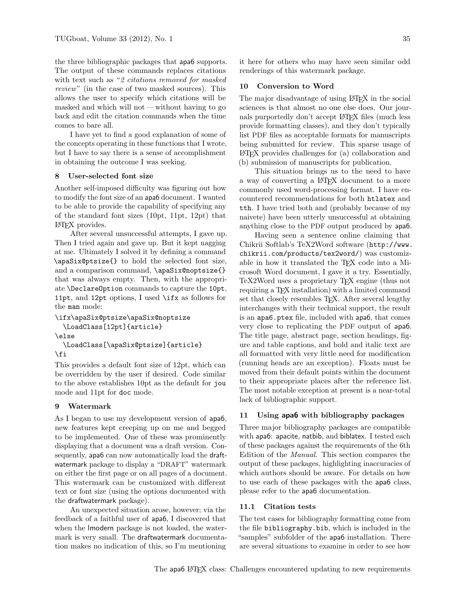the three bibliographic packages that apa6 supports. The output of these commands replaces citations with text such as "2 citations removed for masked review" (in the case of two masked sources). This allows the user to specify which citations will be masked and which will not— without having to go back and edit the citation commands when the time comes to bare all.

I have yet to find a good explanation of some of the concepts operating in these functions that I wrote, but I have to say there is a sense of accomplishment in obtaining the outcome I was seeking.

#### 8 User-selected font size

Another self-imposed difficulty was figuring out how to modify the font size of an apa6 document. I wanted to be able to provide the capability of specifying any of the standard font sizes (10pt, 11pt, 12pt) that LATEX provides.

After several unsuccessful attempts, I gave up. Then I tried again and gave up. But it kept nagging at me. Ultimately I solved it by defining a command \apaSix@ptsize{} to hold the selected font size, and a comparison command, \apaSix@noptsize{} that was always empty. Then, with the appropriate \DeclareOption commands to capture the 10pt, 11pt, and 12pt options, I used \ifx as follows for the man mode:

```
\ifx\apaSix@ptsize\apaSix@noptsize
 \LoadClass[12pt]{article}
\else
 \LoadClass[\apaSix@ptsize]{article}
```
\fi

This provides a default font size of 12pt, which can be overridden by the user if desired. Code similar to the above establishes 10pt as the default for jou mode and 11pt for doc mode.

## 9 Watermark

As I began to use my development version of apa6, new features kept creeping up on me and begged to be implemented. One of these was prominently displaying that a document was a draft version. Consequently, apa6 can now automatically load the draftwatermark package to display a "DRAFT" watermark on either the first page or on all pages of a document. This watermark can be customized with different text or font size (using the options documented with the draftwatermark package).

An unexpected situation arose, however; via the feedback of a faithful user of apa6, I discovered that when the lmodern package is not loaded, the watermark is very small. The draftwatermark documentation makes no indication of this, so I'm mentioning

it here for others who may have seen similar odd renderings of this watermark package.

#### 10 Conversion to Word

The major disadvantage of using LATEX in the social sciences is that almost no one else does. Our journals purportedly don't accept LATEX files (much less provide formatting classes), and they don't typically list PDF files as acceptable formats for manuscripts being submitted for review. This sparse usage of LATEX provides challenges for (a) collaboration and (b) submission of manuscripts for publication.

This situation brings us to the need to have a way of converting a LATEX document to a more commonly used word-processing format. I have encountered recommendations for both htlatex and tth. I have tried both and (probably because of my naivete) have been utterly unsuccessful at obtaining anything close to the PDF output produced by apa6.

Having seen a sentence online claiming that Chikrii Softlab's TeX2Word software ([http://www.](http://www.chikrii.com/products/tex2word/) [chikrii.com/products/tex2word/](http://www.chikrii.com/products/tex2word/)) was customizable in how it translated the T<sub>EX</sub> code into a Microsoft Word document, I gave it a try. Essentially, TeX2Word uses a proprietary TEX engine (thus not requiring a T<sub>E</sub>X installation) with a limited command set that closely resembles T<sub>EX</sub>. After several lengthy interchanges with their technical support, the result is an apa6.ptex file, included with apa6, that comes very close to replicating the PDF output of apa6. The title page, abstract page, section headings, figure and table captions, and bold and italic text are all formatted with very little need for modification (running heads are an exception). Floats must be moved from their default points within the document to their appropriate places after the reference list. The most notable exception at present is a near-total lack of bibliographic support.

## 11 Using apa6 with bibliography packages

Three major bibliography packages are compatible with apa6: apacite, natbib, and biblatex. I tested each of these packages against the requirements of the 6th Edition of the Manual. This section compares the output of these packages, highlighting inaccuracies of which authors should be aware. For details on how to use each of these packages with the apa6 class, please refer to the apa6 documentation.

## 11.1 Citation tests

The test cases for bibliography formatting come from the file bibliography.bib, which is included in the "samples" subfolder of the apa6 installation. There are several situations to examine in order to see how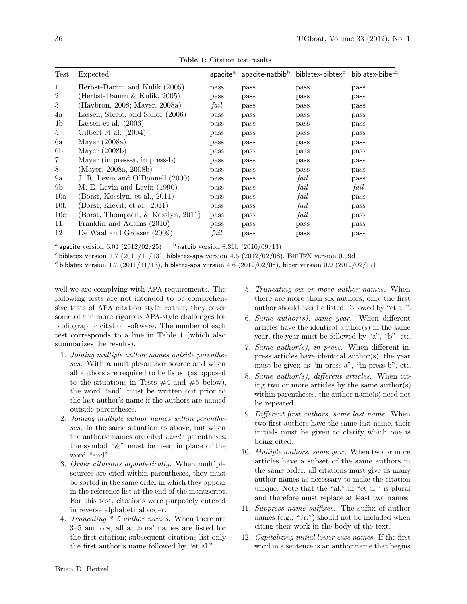| Test            | Expected                           |      | $apacitea$ apacite-natbib <sup>b</sup> | biblatex-bibtex <sup>c</sup> biblatex-biber <sup>d</sup> |      |
|-----------------|------------------------------------|------|----------------------------------------|----------------------------------------------------------|------|
|                 | Herbst-Damm and Kulik (2005)       | pass | pass                                   | pass                                                     | pass |
| 2               | (Herbst-Damm & Kulik, 2005)        | pass | pass                                   | pass                                                     | pass |
| 3               | (Haybron, 2008; Mayer, 2008a)      | fail | pass                                   | pass                                                     | pass |
| 4a              | Lassen, Steele, and Sailor (2006)  | pass | pass                                   | pass                                                     | pass |
| 4b              | Lassen et al. $(2006)$             | pass | pass                                   | pass                                                     | pass |
| 5.              | Gilbert et al. (2004)              | pass | pass                                   | pass                                                     | pass |
| 6a              | Mayer $(2008a)$                    | pass | pass                                   | pass                                                     | pass |
| 6b              | Mayer $(2008b)$                    | pass | pass                                   | pass                                                     | pass |
|                 | Mayer (in press-a, in press-b)     | pass | pass                                   | pass                                                     | pass |
| 8               | (Mayer, 2008a, 2008b)              | pass | pass                                   | pass                                                     | pass |
| 9a              | J. R. Levin and O'Donnell (2000)   | pass | pass                                   | fail                                                     | pass |
| 9 <sub>b</sub>  | M. E. Levin and Levin (1990)       | pass | pass                                   | fail                                                     | fail |
| 10a             | (Borst, Kosslyn, et al., 2011)     | pass | pass                                   | fail                                                     | pass |
| 10 <sub>b</sub> | (Borst, Kievit, et al., 2011)      | pass | pass                                   | fail                                                     | pass |
| 10 <sub>c</sub> | (Borst, Thompson, & Kosslyn, 2011) | pass | pass                                   | fail                                                     | pass |
| 11              | Franklin and Adams (2010)          | pass | pass                                   | pass                                                     | pass |
| 12              | De Waal and Grosser (2009)         | fail | pass                                   | pass                                                     | pass |

<span id="page-3-0"></span>Table 1: Citation test results

 $^{\rm a}$  apacite version  $6.01$   $(2012/02/25)^{\rm b}$  $^{b}$  natbib version 8.31b (2010/09/13)

 $\sim$  biblatex version 1.7 (2011/11/13), biblatex-apa version 4.6 (2012/02/08), BIBTEX version 0.99d

d biblatex version 1.7 (2011/11/13), biblatex-apa version 4.6 (2012/02/08), biber version 0.9 (2012/02/17)

well we are complying with APA requirements. The following tests are not intended to be comprehensive tests of APA citation style; rather, they cover some of the more rigorous APA-style challenges for bibliographic citation software. The number of each test corresponds to a line in Table [1](#page-3-0) (which also summarizes the results).

- 1. Joining multiple author names outside parentheses. With a multiple-author source and when all authors are required to be listed (as opposed to the situations in Tests  $#4$  and  $#5$  below), the word "and" must be written out prior to the last author's name if the authors are named outside parentheses.
- 2. Joining multiple author names within parentheses. In the same situation as above, but when the authors' names are cited inside parentheses, the symbol "&" must be used in place of the word "and".
- 3. Order citations alphabetically. When multiple sources are cited within parentheses, they must be sorted in the same order in which they appear in the reference list at the end of the manuscript. For this test, citations were purposely entered in reverse alphabetical order.
- 4. Truncating 3–5 author names. When there are 3–5 authors, all authors' names are listed for the first citation; subsequent citations list only the first author's name followed by "et al."
- 5. Truncating six or more author names. When there are more than six authors, only the first author should ever be listed, followed by "et al.".
- 6. Same author(s), same year. When different articles have the identical author(s) in the same year, the year must be followed by "a", "b", etc.
- 7. Same author(s), in press. When different inpress articles have identical author(s), the year must be given as "in press-a", "in press-b", etc.
- 8. Same author(s), different articles. When citing two or more articles by the same author(s) within parentheses, the author name(s) need not be repeated.
- 9. Different first authors, same last name. When two first authors have the same last name, their initials must be given to clarify which one is being cited.
- 10. Multiple authors, same year. When two or more articles have a subset of the same authors in the same order, all citations must give as many author names as necessary to make the citation unique. Note that the "al." in "et al." is plural and therefore must replace at least two names.
- 11. Suppress name suffixes. The suffix of author names (e.g., "Jr.") should not be included when citing their work in the body of the text.
- 12. Capitalizing initial lower-case names. If the first word in a sentence is an author name that begins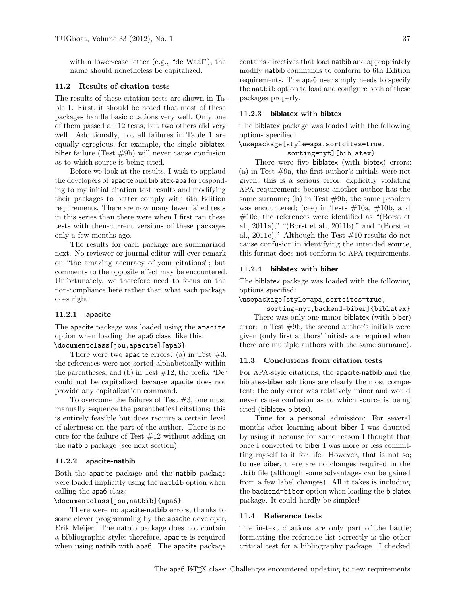with a lower-case letter (e.g., "de Waal"), the name should nonetheless be capitalized.

#### 11.2 Results of citation tests

The results of these citation tests are shown in Table [1.](#page-3-0) First, it should be noted that most of these packages handle basic citations very well. Only one of them passed all 12 tests, but two others did very well. Additionally, not all failures in Table [1](#page-3-0) are equally egregious; for example, the single biblatexbiber failure (Test #9b) will never cause confusion as to which source is being cited.

Before we look at the results, I wish to applaud the developers of apacite and biblatex-apa for responding to my initial citation test results and modifying their packages to better comply with 6th Edition requirements. There are now many fewer failed tests in this series than there were when I first ran these tests with then-current versions of these packages only a few months ago.

The results for each package are summarized next. No reviewer or journal editor will ever remark on "the amazing accuracy of your citations"; but comments to the opposite effect may be encountered. Unfortunately, we therefore need to focus on the non-compliance here rather than what each package does right.

#### 11.2.1 apacite

The apacite package was loaded using the apacite option when loading the apa6 class, like this: \documentclass[jou,apacite]{apa6}

There were two apacite errors: (a) in Test  $#3$ , the references were not sorted alphabetically within the parentheses; and (b) in Test  $#12$ , the prefix "De" could not be capitalized because apacite does not provide any capitalization command.

To overcome the failures of Test  $#3$ , one must manually sequence the parenthetical citations; this is entirely feasible but does require a certain level of alertness on the part of the author. There is no cure for the failure of Test  $#12$  without adding on the natbib package (see next section).

#### 11.2.2 apacite-natbib

Both the apacite package and the natbib package were loaded implicitly using the natbib option when calling the apa6 class:

#### \documentclass[jou,natbib]{apa6}

There were no apacite-natbib errors, thanks to some clever programming by the apacite developer, Erik Meijer. The natbib package does not contain a bibliographic style; therefore, apacite is required when using natbib with apa6. The apacite package

contains directives that load natbib and appropriately modify natbib commands to conform to 6th Edition requirements. The apa6 user simply needs to specify the natbib option to load and configure both of these packages properly.

### 11.2.3 biblatex with bibtex

The biblatex package was loaded with the following options specified:

## \usepackage[style=apa,sortcites=true,

#### sorting=nyt]{biblatex}

There were five biblatex (with bibtex) errors: (a) in Test  $#9a$ , the first author's initials were not given; this is a serious error, explicitly violating APA requirements because another author has the same surname; (b) in Test #9b, the same problem was encountered; (c–e) in Tests  $\#10a$ ,  $\#10b$ , and  $\#10c$ , the references were identified as "(Borst et al., 2011a)," "(Borst et al., 2011b)," and "(Borst et al., 2011c)." Although the Test  $#10$  results do not cause confusion in identifying the intended source, this format does not conform to APA requirements.

#### 11.2.4 biblatex with biber

The biblatex package was loaded with the following options specified:

#### \usepackage[style=apa,sortcites=true,

sorting=nyt,backend=biber]{biblatex}

There was only one minor biblatex (with biber) error: In Test  $#9b$ , the second author's initials were given (only first authors' initials are required when there are multiple authors with the same surname).

#### 11.3 Conclusions from citation tests

For APA-style citations, the apacite-natbib and the biblatex-biber solutions are clearly the most competent; the only error was relatively minor and would never cause confusion as to which source is being cited (biblatex-bibtex).

Time for a personal admission: For several months after learning about biber I was daunted by using it because for some reason I thought that once I converted to biber I was more or less committing myself to it for life. However, that is not so; to use biber, there are no changes required in the .bib file (although some advantages can be gained from a few label changes). All it takes is including the backend=biber option when loading the biblatex package. It could hardly be simpler!

## 11.4 Reference tests

The in-text citations are only part of the battle; formatting the reference list correctly is the other critical test for a bibliography package. I checked